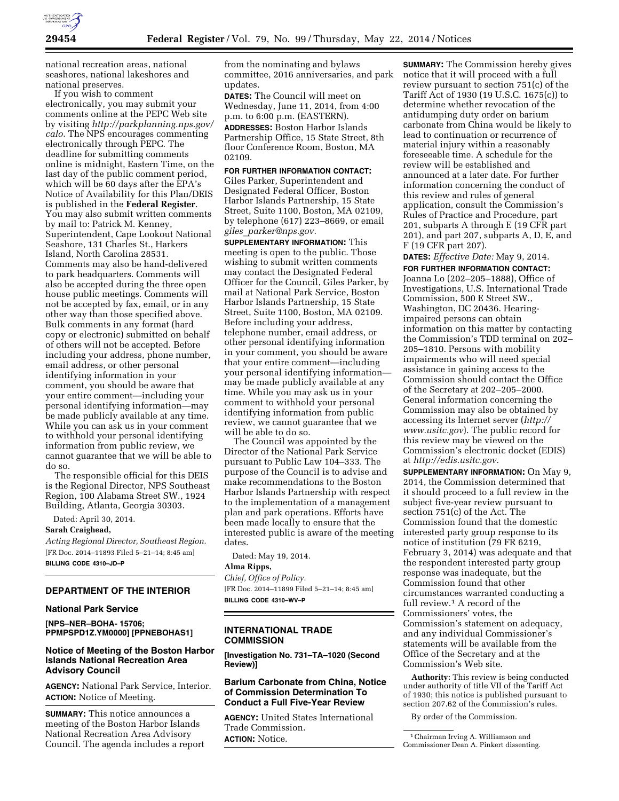

national recreation areas, national seashores, national lakeshores and national preserves.

If you wish to comment electronically, you may submit your comments online at the PEPC Web site by visiting *http://parkplanning.nps.gov/ calo.* The NPS encourages commenting electronically through PEPC. The deadline for submitting comments online is midnight, Eastern Time, on the last day of the public comment period, which will be 60 days after the EPA's Notice of Availability for this Plan/DEIS is published in the **Federal Register**. You may also submit written comments by mail to: Patrick M. Kenney, Superintendent, Cape Lookout National Seashore, 131 Charles St., Harkers Island, North Carolina 28531. Comments may also be hand-delivered to park headquarters. Comments will also be accepted during the three open house public meetings. Comments will not be accepted by fax, email, or in any other way than those specified above. Bulk comments in any format (hard copy or electronic) submitted on behalf of others will not be accepted. Before including your address, phone number, email address, or other personal identifying information in your comment, you should be aware that your entire comment—including your personal identifying information—may be made publicly available at any time. While you can ask us in your comment to withhold your personal identifying information from public review, we cannot guarantee that we will be able to do so.

The responsible official for this DEIS is the Regional Director, NPS Southeast Region, 100 Alabama Street SW., 1924 Building, Atlanta, Georgia 30303.

Dated: April 30, 2014.

#### **Sarah Craighead,**

*Acting Regional Director, Southeast Region.*  [FR Doc. 2014–11893 Filed 5–21–14; 8:45 am] **BILLING CODE 4310–JD–P** 

#### **DEPARTMENT OF THE INTERIOR**

### **National Park Service**

**[NPS–NER–BOHA- 15706; PPMPSPD1Z.YM0000] [PPNEBOHAS1]** 

## **Notice of Meeting of the Boston Harbor Islands National Recreation Area Advisory Council**

**AGENCY:** National Park Service, Interior. **ACTION:** Notice of Meeting.

**SUMMARY:** This notice announces a meeting of the Boston Harbor Islands National Recreation Area Advisory Council. The agenda includes a report from the nominating and bylaws committee, 2016 anniversaries, and park updates.

**DATES:** The Council will meet on Wednesday, June 11, 2014, from 4:00 p.m. to 6:00 p.m. (EASTERN).

**ADDRESSES:** Boston Harbor Islands Partnership Office, 15 State Street, 8th floor Conference Room, Boston, MA 02109.

**FOR FURTHER INFORMATION CONTACT:**  Giles Parker, Superintendent and Designated Federal Officer, Boston Harbor Islands Partnership, 15 State Street, Suite 1100, Boston, MA 02109, by telephone (617) 223–8669, or email *giles*\_*parker@nps.gov.* 

**SUPPLEMENTARY INFORMATION:** This meeting is open to the public. Those wishing to submit written comments may contact the Designated Federal Officer for the Council, Giles Parker, by mail at National Park Service, Boston Harbor Islands Partnership, 15 State Street, Suite 1100, Boston, MA 02109. Before including your address, telephone number, email address, or other personal identifying information in your comment, you should be aware that your entire comment—including your personal identifying information may be made publicly available at any time. While you may ask us in your comment to withhold your personal identifying information from public review, we cannot guarantee that we will be able to do so.

The Council was appointed by the Director of the National Park Service pursuant to Public Law 104–333. The purpose of the Council is to advise and make recommendations to the Boston Harbor Islands Partnership with respect to the implementation of a management plan and park operations. Efforts have been made locally to ensure that the interested public is aware of the meeting dates.

Dated: May 19, 2014.

# **Alma Ripps,**

*Chief, Office of Policy.*  [FR Doc. 2014–11899 Filed 5–21–14; 8:45 am] **BILLING CODE 4310–WV–P** 

## **INTERNATIONAL TRADE COMMISSION**

**[Investigation No. 731–TA–1020 (Second Review)]** 

## **Barium Carbonate from China, Notice of Commission Determination To Conduct a Full Five-Year Review**

**AGENCY:** United States International Trade Commission. **ACTION:** Notice.

**SUMMARY:** The Commission hereby gives notice that it will proceed with a full review pursuant to section 751(c) of the Tariff Act of 1930 (19 U.S.C. 1675(c)) to determine whether revocation of the antidumping duty order on barium carbonate from China would be likely to lead to continuation or recurrence of material injury within a reasonably foreseeable time. A schedule for the review will be established and announced at a later date. For further information concerning the conduct of this review and rules of general application, consult the Commission's Rules of Practice and Procedure, part 201, subparts A through E (19 CFR part 201), and part 207, subparts A, D, E, and F (19 CFR part 207).

**DATES:** *Effective Date:* May 9, 2014. **FOR FURTHER INFORMATION CONTACT:**  Joanna Lo (202–205–1888), Office of Investigations, U.S. International Trade Commission, 500 E Street SW., Washington, DC 20436. Hearingimpaired persons can obtain information on this matter by contacting the Commission's TDD terminal on 202– 205–1810. Persons with mobility impairments who will need special assistance in gaining access to the Commission should contact the Office of the Secretary at 202–205–2000. General information concerning the Commission may also be obtained by accessing its Internet server (*http:// www.usitc.gov*). The public record for this review may be viewed on the Commission's electronic docket (EDIS) at *http://edis.usitc.gov.* 

**SUPPLEMENTARY INFORMATION:** On May 9, 2014, the Commission determined that it should proceed to a full review in the subject five-year review pursuant to section 751(c) of the Act. The Commission found that the domestic interested party group response to its notice of institution (79 FR 6219, February 3, 2014) was adequate and that the respondent interested party group response was inadequate, but the Commission found that other circumstances warranted conducting a full review.<sup>1</sup> A record of the Commissioners' votes, the Commission's statement on adequacy, and any individual Commissioner's statements will be available from the Office of the Secretary and at the Commission's Web site.

**Authority:** This review is being conducted under authority of title VII of the Tariff Act of 1930; this notice is published pursuant to section 207.62 of the Commission's rules.

By order of the Commission.

<sup>&</sup>lt;sup>1</sup> Chairman Irving A. Williamson and Commissioner Dean A. Pinkert dissenting.